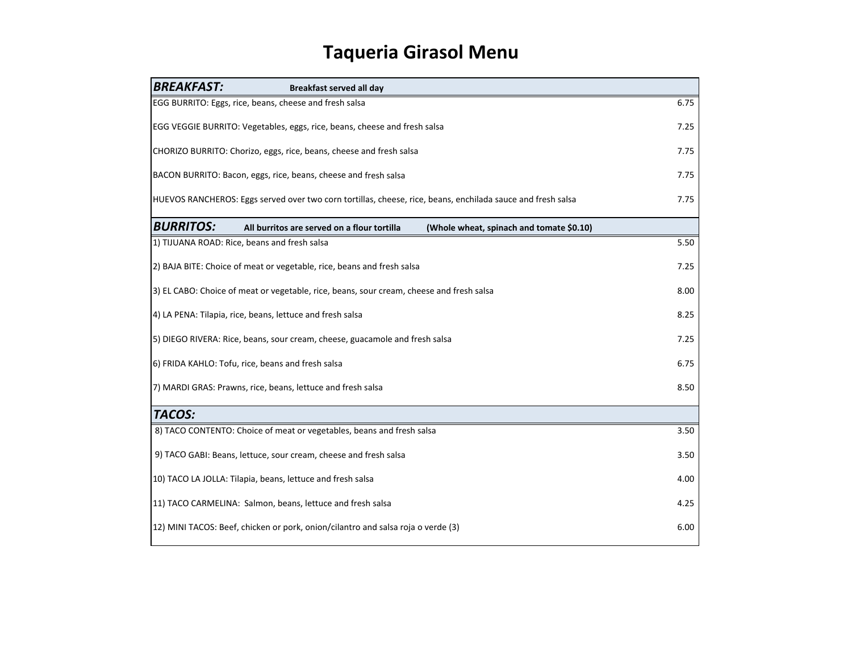## **Taqueria Girasol Menu**

| <b>BREAKFAST:</b>                                                                                                   | <b>Breakfast served all day</b>                        |                                          |      |
|---------------------------------------------------------------------------------------------------------------------|--------------------------------------------------------|------------------------------------------|------|
|                                                                                                                     | EGG BURRITO: Eggs, rice, beans, cheese and fresh salsa |                                          | 6.75 |
| EGG VEGGIE BURRITO: Vegetables, eggs, rice, beans, cheese and fresh salsa                                           |                                                        |                                          | 7.25 |
| CHORIZO BURRITO: Chorizo, eggs, rice, beans, cheese and fresh salsa                                                 |                                                        |                                          | 7.75 |
| BACON BURRITO: Bacon, eggs, rice, beans, cheese and fresh salsa                                                     |                                                        |                                          | 7.75 |
| 7.75<br>HUEVOS RANCHEROS: Eggs served over two corn tortillas, cheese, rice, beans, enchilada sauce and fresh salsa |                                                        |                                          |      |
| <b>BURRITOS:</b>                                                                                                    | All burritos are served on a flour tortilla            | (Whole wheat, spinach and tomate \$0.10) |      |
|                                                                                                                     | 1) TIJUANA ROAD: Rice, beans and fresh salsa           |                                          | 5.50 |
| 2) BAJA BITE: Choice of meat or vegetable, rice, beans and fresh salsa                                              |                                                        |                                          | 7.25 |
| 3) EL CABO: Choice of meat or vegetable, rice, beans, sour cream, cheese and fresh salsa                            |                                                        |                                          | 8.00 |
| 4) LA PENA: Tilapia, rice, beans, lettuce and fresh salsa                                                           |                                                        |                                          | 8.25 |
| 5) DIEGO RIVERA: Rice, beans, sour cream, cheese, guacamole and fresh salsa                                         |                                                        |                                          | 7.25 |
| 6) FRIDA KAHLO: Tofu, rice, beans and fresh salsa                                                                   |                                                        |                                          | 6.75 |
| 7) MARDI GRAS: Prawns, rice, beans, lettuce and fresh salsa                                                         |                                                        |                                          |      |
| <b>TACOS:</b>                                                                                                       |                                                        |                                          |      |
| 8) TACO CONTENTO: Choice of meat or vegetables, beans and fresh salsa                                               |                                                        |                                          | 3.50 |
| 9) TACO GABI: Beans, lettuce, sour cream, cheese and fresh salsa                                                    |                                                        |                                          | 3.50 |
| 10) TACO LA JOLLA: Tilapia, beans, lettuce and fresh salsa                                                          |                                                        |                                          | 4.00 |
| 11) TACO CARMELINA: Salmon, beans, lettuce and fresh salsa                                                          |                                                        |                                          | 4.25 |
| 12) MINI TACOS: Beef, chicken or pork, onion/cilantro and salsa roja o verde (3)                                    |                                                        |                                          |      |